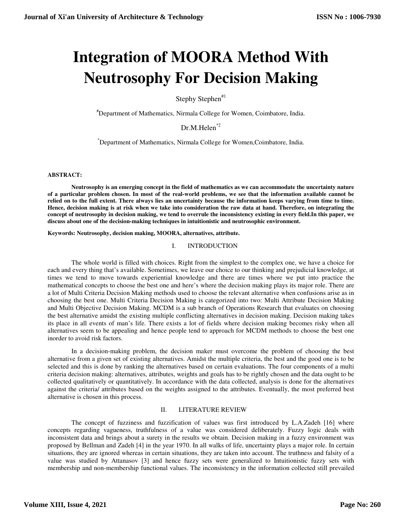# **Integration of MOORA Method With Neutrosophy For Decision Making**

Stephy Stephen<sup>#1</sup>

#Department of Mathematics, Nirmala College for Women, Coimbatore, India.

Dr.M.Helen<sup>\*2</sup>

\*Department of Mathematics, Nirmala College for Women,Coimbatore, India.

# **ABSTRACT:**

 **Neutrosophy is an emerging concept in the field of mathematics as we can accommodate the uncertainty nature of a particular problem chosen. In most of the real-world problems, we see that the information available cannot be relied on to the full extent. There always lies an uncertainty because the information keeps varying from time to time. Hence, decision making is at risk when we take into consideration the raw data at hand. Therefore, on integrating the concept of neutrosophy in decision making, we tend to overrule the inconsistency existing in every field.In this paper, we discuss about one of the decision-making techniques in intuitionistic and neutrosophic environment.** 

**Keywords: Neutrosophy, decision making, MOORA, alternatives, attribute.** 

# I. INTRODUCTION

The whole world is filled with choices. Right from the simplest to the complex one, we have a choice for each and every thing that's available. Sometimes, we leave our choice to our thinking and prejudicial knowledge, at times we tend to move towards experiential knowledge and there are times where we put into practice the mathematical concepts to choose the best one and here's where the decision making plays its major role. There are a lot of Multi Criteria Decision Making methods used to choose the relevant alternative when confusions arise as in choosing the best one. Multi Criteria Decision Making is categorized into two: Multi Attribute Decision Making and Multi Objective Decision Making. MCDM is a sub branch of Operations Research that evaluates on choosing the best alternative amidst the existing multiple conflicting alternatives in decision making. Decision making takes its place in all events of man's life. There exists a lot of fields where decision making becomes risky when all alternatives seem to be appealing and hence people tend to approach for MCDM methods to choose the best one inorder to avoid risk factors.

In a decision-making problem, the decision maker must overcome the problem of choosing the best alternative from a given set of existing alternatives. Amidst the multiple criteria, the best and the good one is to be selected and this is done by ranking the alternatives based on certain evaluations. The four components of a multi criteria decision making: alternatives, attributes, weights and goals has to be rightly chosen and the data ought to be collected qualitatively or quantitatively. In accordance with the data collected, analysis is done for the alternatives against the criteria/ attributes based on the weights assigned to the attributes. Eventually, the most preferred best alternative is chosen in this process.

# II. LITERATURE REVIEW

 The concept of fuzziness and fuzzification of values was first introduced by L.A.Zadeh [16] where concepts regarding vagueness, truthfulness of a value was considered deliberately. Fuzzy logic deals with inconsistent data and brings about a surety in the results we obtain. Decision making in a fuzzy environment was proposed by Bellman and Zadeh [4] in the year 1970. In all walks of life, uncertainty plays a major role. In certain situations, they are ignored whereas in certain situations, they are taken into account. The truthness and falsity of a value was studied by Attanasov [3] and hence fuzzy sets were generalized to Intuitionistic fuzzy sets with membership and non-membership functional values. The inconsistency in the information collected still prevailed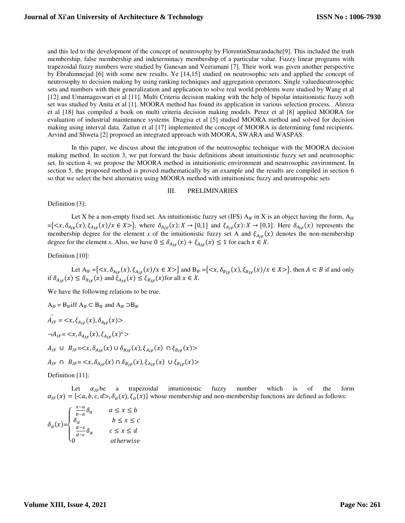and this led to the development of the concept of neutrosophy by FlorentinSmarandache[9]. This included the truth membership, false membership and indeterminacy membership of a particular value. Fuzzy linear programs with trapezoidal fuzzy numbers were studied by Ganesan and Veeramani [7]. Their work was given another perspective by Ebrahimnejad [6] with some new results. Ye [14,15] studied on neutrosophic sets and applied the concept of neutrosophy to decision making by using ranking techniques and aggregation operators. Single valuedneutrosophic sets and numbers with their generalization and application to solve real world problems were studied by Wang et al [12] and Umamageswari et al [11]. Multi Criteria decision making with the help of bipolar intuitionistic fuzzy soft set was studied by Anita et al [1]. MOORA method has found its application in various selection process. Alireza et al [18] has compiled a book on multi criteria decision making models. Perez et al [8] applied MOORA for evaluation of industrial maintenance systems. Dragisa et al [5] studied MOORA method and solved for decision making using interval data. Zaitun et al [17] implemented the concept of MOORA in determining fund recipients. Arvind and Shweta [2] proposed an integrated approach with MOORA, SWARA and WASPAS.

 In this paper, we discuss about the integration of the neutrosophic technique with the MOORA decision making method. In section 3, we put forward the basic definitions about intuitionistic fuzzy set and neutrosophic set. In section 4, we propose the MOORA method in intuitionistic environment and neutrosophic environment. In section 5, the proposed method is proved mathematically by an example and the results are compiled in section 6 so that we select the best alternative using MOORA method with intuitionistic fuzzy and neutrospohic sets

#### III. PRELIMINARIES

Definition [3]:

Let X be a non-empty fixed set. An intuitionistic fuzzy set (IFS)  $A_{IF}$  in X is an object having the form,  $A_{IF}$  $=\{ \langle x, \delta_{A_{IF}}(x), \xi_{A_{IF}}(x) \rangle | x \in X \rangle \}$ , where  $\delta_{A_{IF}}(x): X \to [0,1]$  and  $\xi_{A_{IF}}(x): X \to [0,1]$ . Here  $\delta_{A_{IF}}(x)$  represents the membership degree for the element *x* of the intuitionistic fuzzy set A and  $\xi_{A_{IF}}(x)$  denotes the non-membership degree for the element *x*. Also, we have  $0 \leq \delta_{A_{IF}}(x) + \xi_{A_{IF}}(x) \leq 1$  for each  $x \in X$ .

Definition [10]:

Let  $A_{IF} = \{ \langle x, \delta_{A_{IF}}(x), \xi_{A_{IF}}(x) \rangle \}$  and  $B_{IF} = \{ \langle x, \delta_{B_{IF}}(x), \xi_{B_{IF}}(x) \rangle \}$  then  $A \subset B$  if and only if  $\delta_{A_{IF}}(x) \leq \delta_{B_{IF}}(x)$  and  $\xi_{A_{IF}}(x) \leq \xi_{B_{IF}}(x)$  for all  $x \in X$ .

We have the following relations to be true.

 $A_{IF} = B_{IF}$ iff  $A_{IF} \subset B_{IF}$  and  $A_{IF} \supset B_{IF}$  $\tilde{A}_{IF} = \langle x, \xi_{A_{IF}}(x), \delta_{A_{IF}}(x) \rangle$  $\neg A_{IF} = \langle x, \delta_{A_{IF}}(x), \xi_{A_{IF}}(x)^c \rangle$  $A_{IF} \cup B_{IF}=$  $A_{IF} \cap B_{IF} = \langle x, \delta_{A_{IF}}(x) \cap \delta_{B_{IF}}(x), \xi_{A_{IF}}(x) \cup \xi_{B_{IF}}(x) \rangle$ 

Definition [11]:

Let  $\alpha_{IF}$  be a trapezoidal intuitionistic fuzzy number which is of the form  $\alpha_{IF}(x) = \{\langle a, b, c, d \rangle, \delta_{\alpha}(x), \delta_{\alpha}(x)\}\$  whose membership and non-membership functions are defined as follows:

$$
\delta_{\alpha}(x) = \begin{cases}\n\frac{x-a}{b-a} \delta_{\alpha} & a \leq x \leq b \\
\delta_{\alpha} & b \leq x \leq c \\
\frac{d-x}{d-c} \delta_{\alpha} & c \leq x \leq d \\
0 & otherwise\n\end{cases}
$$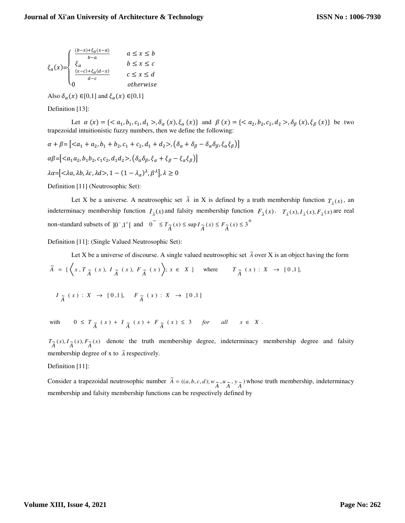$$
\xi_{\alpha}(x) = \begin{cases} \frac{(b-x)+\xi_{\alpha}(x-a)}{b-a} & \quad a \leq x \leq b \\ \frac{\xi_{\alpha}}{b} & \quad b \leq x \leq c \\ \frac{(x-c)+\xi_{\alpha}(d-x)}{d-c} & \quad c \leq x \leq d \\ 0 & \quad otherwise \end{cases}
$$

Also  $\delta_{\alpha}(x) \in [0,1]$  and  $\xi_{\alpha}(x) \in [0,1]$ 

Definition [13]:

Let  $\alpha(x) = \{ \langle a_1, b_1, c_1, d_1 \rangle, \delta_\alpha(x), \delta_\alpha(x) \}$  and  $\beta(x) = \{ \langle a_2, b_2, c_2, d_2 \rangle, \delta_\beta(x), \delta_\beta(x) \}$  be two trapezoidal intuitionistic fuzzy numbers, then we define the following:

$$
\alpha + \beta = \left[ \langle a_1 + a_2, b_1 + b_2, c_1 + c_2, d_1 + d_2 \rangle, \left( \delta_\alpha + \delta_\beta - \delta_\alpha \delta_\beta, \xi_\alpha \xi_\beta \right) \right]
$$
  
\n
$$
\alpha \beta = \left[ \langle a_1 a_2, b_1 b_2, c_1 c_2, d_1 d_2 \rangle, \left( \delta_\alpha \delta_\beta, \xi_\alpha + \xi_\beta - \xi_\alpha \xi_\beta \right) \right]
$$
  
\n
$$
\lambda \alpha = \left[ \langle \lambda a, \lambda b, \lambda c, \lambda d \rangle, 1 - (1 - \lambda_\alpha)^\lambda, \beta^\lambda \right], \lambda \ge 0
$$

Definition [11] (Neutrosophic Set):

Let X be a universe. A neutrosophic set  $\tilde{A}$  in X is defined by a truth membership function  $T_{\tilde{A}}(x)$ , an indeterminacy membership function  $I_{\tilde{A}}(x)$  and falsity membership function  $F_{\tilde{A}}(x)$ .  $T_{\tilde{A}}(x)$ ,  $I_{\tilde{A}}(x)$ ,  $F_{\tilde{A}}(x)$  are real non-standard subsets of  $]0^-, 1^+[$  and  $0^- \le T_{\widetilde{A}}(x) \le \sup I_{\widetilde{A}}(x) \le F_{\widetilde{A}}(x) \le 3^+$ 

Definition [11]: (Single Valued Neutrosophic Set):

Let X be a universe of discourse. A single valued neutrosophic set  $\tilde{A}$  over X is an object having the form  $I_{\tilde{A}}(x) : X \to [0,1], F_{\tilde{A}}(x) : X \to [0,1]$  $\widetilde{A} = \left\{ \left\langle x, T_{\widetilde{A}}(x), I_{\widetilde{A}}(x), F_{\widetilde{A}}(x) \right\rangle; x \in X \right\} \text{ where } T_{\widetilde{A}}(x) : X \to [0,1],$ 

with  $0 \leq T_{\tilde{A}}(x) + I_{\tilde{A}}(x) + F_{\tilde{A}}(x) \leq 3$  *for all*  $x \in X$ .

 $T_{\widetilde{A}}(x)$ ,  $I_{\widetilde{A}}(x)$ ,  $F_{\widetilde{A}}(x)$  denote the truth membership degree, indeterminacy membership degree and falsity membership degree of  $x$  to  $\tilde{A}$  respectively.

Definition [11]:

Consider a trapezoidal neutrosophic number  $\tilde{A} = ((a, b, c, d); w_{\tilde{A}}, w_{\tilde{A}}, y_{\tilde{A}})$  $\tilde{A} = ((a, b, c, d); w_{\tilde{A}}, u_{\tilde{A}}, y_{\tilde{A}})$  whose truth membership, indeterminacy membership and falsity membership functions can be respectively defined by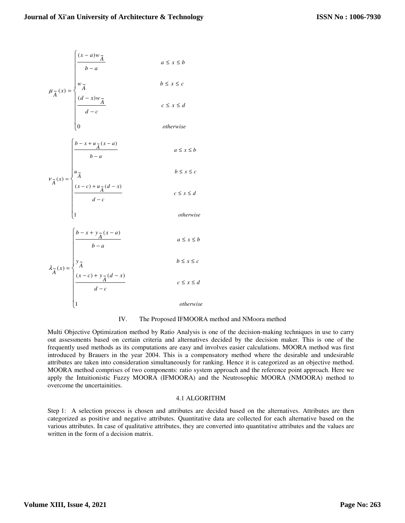$$
\mu_{\widetilde{A}}(x) = \begin{cases}\n\frac{(x-a)w_{\widetilde{A}}}{b-a} & a \leq x \leq b \\
w_{\widetilde{A}} & b \leq x \leq c \\
\frac{(d-x)w_{\widetilde{A}}}{d-c} & c \leq x \leq d\n\end{cases}
$$

 $\left\{ 0 \right\}$ 

 $\left\lfloor 1 \right\rfloor$ 

$$
\left(\frac{b-x+u_{\widetilde{A}}(x-a)}{b-a}\right)\qquad a\leq x\leq b
$$

*otherwise*

$$
v_{\widetilde{A}}(x) = \begin{cases} u_{\widetilde{A}} & b \leq x \leq c \\ \frac{(x-c) + u_{\widetilde{A}}(d-x)}{d-c} & c \leq x \leq d \end{cases}
$$

*otherwise*

$$
\begin{cases}\n b - x + y \underset{A}{\widetilde{A}} (x - a) \\
 b - a\n\end{cases} \quad a \le x \le b
$$

$$
\lambda_{\widetilde{A}}(x) = \begin{cases} y_{\widetilde{A}} & b \leq x \leq c \\ \frac{(x-c) + y_{\widetilde{A}}(d-x)}{d-c} & c \leq x \leq d \\ 1 & otherwise \end{cases}
$$

# IV. The Proposed IFMOORA method and NMoora method

Multi Objective Optimization method by Ratio Analysis is one of the decision-making techniques in use to carry out assessments based on certain criteria and alternatives decided by the decision maker. This is one of the frequently used methods as its computations are easy and involves easier calculations. MOORA method was first introduced by Brauers in the year 2004. This is a compensatory method where the desirable and undesirable attributes are taken into consideration simultaneously for ranking. Hence it is categorized as an objective method. MOORA method comprises of two components: ratio system approach and the reference point approach. Here we apply the Intuitionistic Fuzzy MOORA (IFMOORA) and the Neutrosophic MOORA (NMOORA) method to overcome the uncertainities.

#### 4.1 ALGORITHM

Step 1: A selection process is chosen and attributes are decided based on the alternatives. Attributes are then categorized as positive and negative attributes. Quantitative data are collected for each alternative based on the various attributes. In case of qualitative attributes, they are converted into quantitative attributes and the values are written in the form of a decision matrix.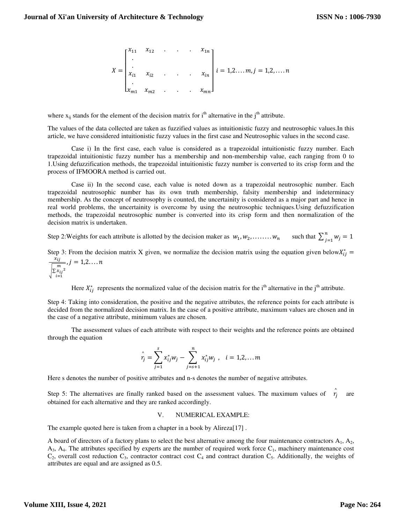$$
X = \begin{bmatrix} x_{11} & x_{12} & \dots & x_{1n} \\ \vdots & & & & \\ x_{i1} & x_{i2} & \dots & x_{in} \\ \vdots & & & & \\ x_{m1} & x_{m2} & \dots & x_{mn} \end{bmatrix} i = 1, 2, \dots, m, j = 1, 2, \dots, n
$$

where  $x_{ij}$  stands for the element of the decision matrix for  $i<sup>th</sup>$  alternative in the  $j<sup>th</sup>$  attribute.

The values of the data collected are taken as fuzzified values as intuitionistic fuzzy and neutrosophic values.In this article, we have considered intuitionistic fuzzy values in the first case and Neutrosophic values in the second case.

 Case i) In the first case, each value is considered as a trapezoidal intuitionistic fuzzy number. Each trapezoidal intuitionistic fuzzy number has a membership and non-membership value, each ranging from 0 to 1.Using defuzzification methods, the trapezoidal intuitionistic fuzzy number is converted to its crisp form and the process of IFMOORA method is carried out.

 Case ii) In the second case, each value is noted down as a trapezoidal neutrosophic number. Each trapezoidal neutrosophic number has its own truth membership, falsity membership and indeterminacy membership. As the concept of neutrosophy is counted, the uncertainity is considered as a major part and hence in real world problems, the uncertainity is overcome by using the neutrosophic techniques.Using defuzzification methods, the trapezoidal neutrosophic number is converted into its crisp form and then normalization of the decision matrix is undertaken.

Step 2: Weights for each attribute is allotted by the decision maker as  $w_1, w_2, \ldots, w_n$  such that  $\sum_{j=1}^n w_j = 1$ 

Step 3: From the decision matrix X given, we normalize the decision matrix using the equation given below $X_{ij}^*$  =

$$
\frac{x_{ij}}{\sqrt{\sum_{i=1}^{m} x_{ij}^2}}, j = 1, 2, \dots, n
$$

Here  $X_{ij}^*$  represents the normalized value of the decision matrix for the i<sup>th</sup> alternative in the j<sup>th</sup> attribute.

Step 4: Taking into consideration, the positive and the negative attributes, the reference points for each attribute is decided from the normalized decision matrix. In the case of a positive attribute, maximum values are chosen and in the case of a negative attribute, minimum values are chosen.

 The assessment values of each attribute with respect to their weights and the reference points are obtained through the equation

$$
\hat{r_j} = \sum_{j=1}^{s} x_{ij}^* w_j - \sum_{j=s+1}^{n} x_{ij}^* w_j, \quad i = 1, 2, \dots m
$$

Here s denotes the number of positive attributes and n-s denotes the number of negative attributes.

Step 5: The alternatives are finally ranked based on the assessment values. The maximum values of  $\hat{r}_j$  are obtained for each alternative and they are ranked accordingly.

V. NUMERICAL EXAMPLE:

The example quoted here is taken from a chapter in a book by Alireza[17] .

A board of directors of a factory plans to select the best alternative among the four maintenance contractors  $A_1$ ,  $A_2$ ,  $A_3$ ,  $A_4$ . The attributes specified by experts are the number of required work force  $C_1$ , machinery maintenance cost  $C_2$ , overall cost reduction  $C_3$ , contractor contract cost  $C_4$  and contract duration  $C_5$ . Additionally, the weights of attributes are equal and are assigned as 0.5.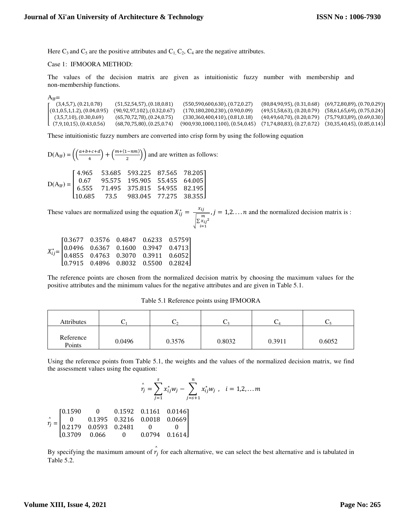Here  $C_3$  and  $C_5$  are the positive attributes and  $C_1$ ,  $C_2$ ,  $C_4$  are the negative attributes.

#### Case 1: IFMOORA METHOD:

The values of the decision matrix are given as intuitionistic fuzzy number with membership and non-membership functions.

 $A_{IF}$ =

| $(3,4,5,7)$ , $(0.21,0.78)$           | $(51,52,54,57)$ , $(0.18,0.81)$      | $(550,590,600,630)$ , $(0.72,0.27)$ | $(80,84,90,95)$ , $(0.31,0.68)$ | (69, 72, 80, 89), (0.70, 0.29)  |
|---------------------------------------|--------------------------------------|-------------------------------------|---------------------------------|---------------------------------|
| (0.1, 0.5, 1, 1.2), (0.04, 0.95)      | $(90, 92, 97, 102)$ , $(0.32, 0.67)$ | (170,180,200,230), (0.90,0.09)      | $(49,51,58,63)$ , $(0.20,0.79)$ | $(58,61,65,69)$ , $(0.75,0.24)$ |
| $(3,5,7,10)$ , $(0.30,0.69)$          | $(65,70,72,78)$ , $(0.24,0.75)$      | $(330,360,400,410)$ , $(0.81,0.18)$ | (40, 49, 60, 70), (0.20, 0.79)  | (75,79,83,89), (0.69,0.30)      |
| $\lfloor (7.9.10.15)$ , $(0.43.0.56)$ | $(68,70,75,80)$ , $(0.25,0.74)$      | (900,930,1000,1100), (0.54,0.45)    | $(71,74,80,83)$ , $(0.27,0.72)$ | $(30,35,40,45)$ , $(0.85,0.14)$ |

These intuitionistic fuzzy numbers are converted into crisp form by using the following equation

$$
D(A_{IF}) = \left( \frac{(a+b+c+d)}{4} + \frac{(m+(1-nm))}{2} \right) \text{ and are written as follows:}
$$
  
\n
$$
D(A_{IF}) = \begin{bmatrix} 4.965 & 53.685 & 593.225 & 87.565 & 78.205 \\ 0.67 & 95.575 & 195.905 & 55.455 & 64.005 \\ 6.555 & 71.495 & 375.815 & 54.955 & 82.195 \\ 10.685 & 73.5 & 983.045 & 77.275 & 38.355 \end{bmatrix}
$$

These values are normalized using the equation  $X_{ij}^* = \frac{x_{ij}}{\sqrt{m_i}}$  $\sqrt{\sum_{i=1}^{x_{ij}}^2}$  $\frac{y}{m}$ ,  $j = 1,2,...,n$  and the normalized decision matrix is :

|  | $X_{ij}^*\!\!=\!\! \begin{bmatrix} 0.3677 & 0.3576 & 0.4847 & 0.6233 & 0.5759 \\ 0.0496 & 0.6367 & 0.1600 & 0.3947 & 0.4713 \\ 0.4855 & 0.4763 & 0.3070 & 0.3911 & 0.6052 \\ 0.7915 & 0.4896 & 0.8032 & 0.5500 & 0.2824 \end{bmatrix}$ |  |
|--|----------------------------------------------------------------------------------------------------------------------------------------------------------------------------------------------------------------------------------------|--|

The reference points are chosen from the normalized decision matrix by choosing the maximum values for the positive attributes and the minimum values for the negative attributes and are given in Table 5.1.

| <b>Attributes</b>   |        |        | J.     | ◡      |        |
|---------------------|--------|--------|--------|--------|--------|
| Reference<br>Points | 0.0496 | 0.3576 | 0.8032 | 0.3911 | 0.6052 |

Table 5.1 Reference points using IFMOORA

Using the reference points from Table 5.1, the weights and the values of the normalized decision matrix, we find the assessment values using the equation:

$$
\hat{r}_j = \sum_{j=1}^s x_{ij}^* w_j - \sum_{j=s+1}^n x_{ij}^* w_j \, , \, i = 1, 2, \dots m
$$

|  | $\hat{r_j} = \begin{bmatrix} 0.1590 & 0 & 0.1592 & 0.1161 & 0.0146 \\ 0 & 0.1395 & 0.3216 & 0.0018 & 0.0669 \\ 0.2179 & 0.0593 & 0.2481 & 0 & 0 \\ 0.3709 & 0.066 & 0 & 0.0794 & 0.1614 \end{bmatrix}$ |  |  |
|--|--------------------------------------------------------------------------------------------------------------------------------------------------------------------------------------------------------|--|--|
|  |                                                                                                                                                                                                        |  |  |
|  |                                                                                                                                                                                                        |  |  |
|  |                                                                                                                                                                                                        |  |  |

By specifying the maximum amount of  $\hat{r}_j$  for each alternative, we can select the best alternative and is tabulated in Table 5.2.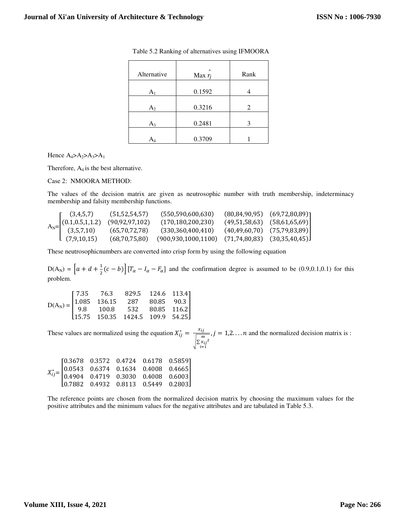| Alternative    | $\wedge$<br>Max $r_i$ | Rank |
|----------------|-----------------------|------|
| A <sub>1</sub> | 0.1592                |      |
| $A_2$          | 0.3216                | 2    |
| $A_3$          | 0.2481                | 3    |
|                | 0.3709                |      |

Table 5.2 Ranking of alternatives using IFMOORA

Hence  $A_4 > A_2 > A_3 > A_1$ 

Therefore,  $A_4$  is the best alternative.

Case 2: NMOORA METHOD:

The values of the decision matrix are given as neutrosophic number with truth membership, indeterminacy membership and falsity membership functions.

| $\int (3,4,5,7)$ | (51,52,54,57)    | (550,590,600,630)                                                                   | $(80,84,90,95)$ $(69,72,80,89)$ ]     |
|------------------|------------------|-------------------------------------------------------------------------------------|---------------------------------------|
|                  | (90,92,97,102)   | (170, 180, 200, 230)                                                                | $(49,51,58,63)$ $(58,61,65,69)$       |
|                  | (65,70,72,78)    | (330,360,400,410)                                                                   | $(40, 49, 60, 70)$ $(75, 79, 83, 89)$ |
| (7,9,10,15)      | (68, 70, 75, 80) | (900.930.1000.1100)                                                                 |                                       |
|                  |                  | A <sub>N</sub> = $\begin{bmatrix} (0.1, 0.5, 1, 1.2) \\ (3.5, 7, 10) \end{bmatrix}$ | (71,74,80,83) (30,35,40,45)J          |

These neutrosophicnumbers are converted into crisp form by using the following equation

 $D(A_N) = \left[ a + d + \frac{1}{2}(c - b) \right] \left[ T_\alpha - I_\alpha - F_\alpha \right]$  and the confirmation degree is assumed to be (0.9,0.1,0.1) for this problem.

$$
D(A_N) = \begin{bmatrix} 7.35 & 76.3 & 829.5 & 124.6 & 113.4 \\ 1.085 & 136.15 & 287 & 80.85 & 90.3 \\ 9.8 & 100.8 & 532 & 80.85 & 116.2 \\ 15.75 & 150.35 & 1424.5 & 109.9 & 54.25 \end{bmatrix}
$$

These values are normalized using the equation  $X_{ij}^* = \frac{x_{ij}}{\sqrt{m_i}}$  $\sqrt{\sum_{i=1}^{x_{ij}}^2}$  $\frac{y}{m}$ ,  $j = 1,2,...,n$  and the normalized decision matrix is :

|  |  | $X_{ij}^*\!\!=\!\!\begin{bmatrix} 0.3678 & 0.3572 & 0.4724 & 0.6178 & 0.5859 \\ 0.0543 & 0.6374 & 0.1634 & 0.4008 & 0.4665 \\ 0.4904 & 0.4719 & 0.3030 & 0.4008 & 0.6003 \\ 0.7882 & 0.4932 & 0.8113 & 0.5449 & 0.2803 \end{bmatrix}$ |  |
|--|--|---------------------------------------------------------------------------------------------------------------------------------------------------------------------------------------------------------------------------------------|--|
|  |  |                                                                                                                                                                                                                                       |  |

The reference points are chosen from the normalized decision matrix by choosing the maximum values for the positive attributes and the minimum values for the negative attributes and are tabulated in Table 5.3.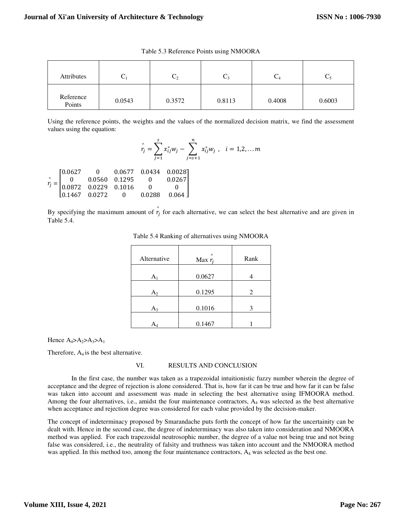| Attributes          | ت      | しっ     | しろ     | $C_4$  | ╰      |
|---------------------|--------|--------|--------|--------|--------|
| Reference<br>Points | 0.0543 | 0.3572 | 0.8113 | 0.4008 | 0.6003 |

Table 5.3 Reference Points using NMOORA

Using the reference points, the weights and the values of the normalized decision matrix, we find the assessment values using the equation:

$$
\hat{r}_j = \sum_{j=1}^s x_{ij}^* w_j - \sum_{j=s+1}^n x_{ij}^* w_j, \quad i = 1, 2, \dots m
$$

 $r_j$  $\hat{\mathbf{r}}$  $=$   $\vert$  $\begin{bmatrix} 0.0627 & 0 & 0.0677 & 0.0434 & 0.0028 \ 0 & 0.0560 & 0.1295 & 0 & 0.0267 \end{bmatrix}$ 0 0.0560 0.1295 0 0.0267  $\begin{bmatrix} 0.0872 & 0.0229 & 0.1016 & 0 & 0 \ 0.1467 & 0.0272 & 0 & 0.0288 & 0.064 \end{bmatrix}$ 

By specifying the maximum amount of  $\hat{r}_j$  for each alternative, we can select the best alternative and are given in Table 5.4.

| Alternative | $\wedge$<br>Max $r_i$ | Rank |
|-------------|-----------------------|------|
| А           | 0.0627                |      |
| $A_2$       | 0.1295                | 2    |
| $A_3$       | 0.1016                | 3    |
|             | 0.1467                |      |

Table 5.4 Ranking of alternatives using NMOORA

Hence  $A_4 > A_2 > A_3 > A_1$ 

Therefore,  $A_4$  is the best alternative.

# VI. RESULTS AND CONCLUSION

 In the first case, the number was taken as a trapezoidal intuitionistic fuzzy number wherein the degree of acceptance and the degree of rejection is alone considered. That is, how far it can be true and how far it can be false was taken into account and assessment was made in selecting the best alternative using IFMOORA method. Among the four alternatives, i.e., amidst the four maintenance contractors,  $A_4$  was selected as the best alternative when acceptance and rejection degree was considered for each value provided by the decision-maker.

The concept of indeterminacy proposed by Smarandache puts forth the concept of how far the uncertainity can be dealt with. Hence in the second case, the degree of indeterminacy was also taken into consideration and NMOORA method was applied. For each trapezoidal neutrosophic number, the degree of a value not being true and not being false was considered, i.e., the neutrality of falsity and truthness was taken into account and the NMOORA method was applied. In this method too, among the four maintenance contractors, A<sub>4</sub> was selected as the best one.